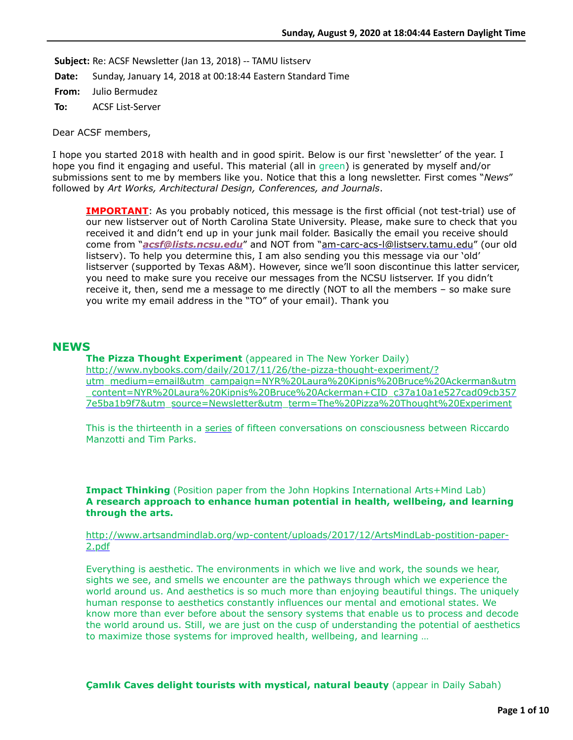Subject: Re: ACSF Newsletter (Jan 13, 2018) -- TAMU listserv

**Date:** Sunday, January 14, 2018 at 00:18:44 Eastern Standard Time

**From:** Julio Bermudez

**To:** ACSF List-Server

Dear ACSF members,

I hope you started 2018 with health and in good spirit. Below is our first 'newsletter' of the year. I hope you find it engaging and useful. This material (all in green) is generated by myself and/or submissions sent to me by members like you. Notice that this a long newsletter. First comes "*News*" followed by *Art Works, Architectural Design, Conferences, and Journals*.

**IMPORTANT**: As you probably noticed, this message is the first official (not test-trial) use of our new listserver out of North Carolina State University. Please, make sure to check that you received it and didn't end up in your junk mail folder. Basically the email you receive should come from "*[acsf@lists.ncsu.edu](mailto:acsf@lists.ncsu.edu)*" and NOT from ["am-carc-acs-l@listserv.tamu.edu"](mailto:am-carc-acs-l@listserv.tamu.edu) (our old listserv). To help you determine this, I am also sending you this message via our 'old' listserver (supported by Texas A&M). However, since we'll soon discontinue this latter servicer, you need to make sure you receive our messages from the NCSU listserver. If you didn't receive it, then, send me a message to me directly (NOT to all the members – so make sure you write my email address in the "TO" of your email). Thank you

### **NEWS**

**The Pizza Thought Experiment** (appeared in The New Yorker Daily) http://www.nybooks.com/daily/2017/11/26/the-pizza-thought-experiment/? utm\_medium=email&utm\_campaign=NYR%20Laura%20Kipnis%20Bruce%20Ackerman&utm [\\_content=NYR%20Laura%20Kipnis%20Bruce%20Ackerman+CID\\_c37a10a1e527cad09cb357](http://www.nybooks.com/daily/2017/11/26/the-pizza-thought-experiment/?utm_medium=email&utm_campaign=NYR%20Laura%20Kipnis%20Bruce%20Ackerman&utm_content=NYR%20Laura%20Kipnis%20Bruce%20Ackerman+CID_c37a10a1e527cad09cb3577e5ba1b9f7&utm_source=Newsletter&utm_term=The%20Pizza%20Thought%20Experiment) 7e5ba1b9f7&utm\_source=Newsletter&utm\_term=The%20Pizza%20Thought%20Experiment

This is the thirteenth in a [series](http://www.nybooks.com/topics/on-consciousness/) of fifteen conversations on consciousness between Riccardo Manzotti and Tim Parks.

**Impact Thinking** (Position paper from the John Hopkins International Arts+Mind Lab) **A research approach to enhance human potential in health, wellbeing, and learning through the arts.**

#### [http://www.artsandmindlab.org/wp-content/uploads/2017/12/ArtsMindLab-postition-paper-](http://www.artsandmindlab.org/wp-content/uploads/2017/12/ArtsMindLab-postition-paper-2.pdf)2.pdf

Everything is aesthetic. The environments in which we live and work, the sounds we hear, sights we see, and smells we encounter are the pathways through which we experience the world around us. And aesthetics is so much more than enjoying beautiful things. The uniquely human response to aesthetics constantly influences our mental and emotional states. We know more than ever before about the sensory systems that enable us to process and decode the world around us. Still, we are just on the cusp of understanding the potential of aesthetics to maximize those systems for improved health, wellbeing, and learning …

**Çamlık Caves delight tourists with mystical, natural beauty** (appear in Daily Sabah)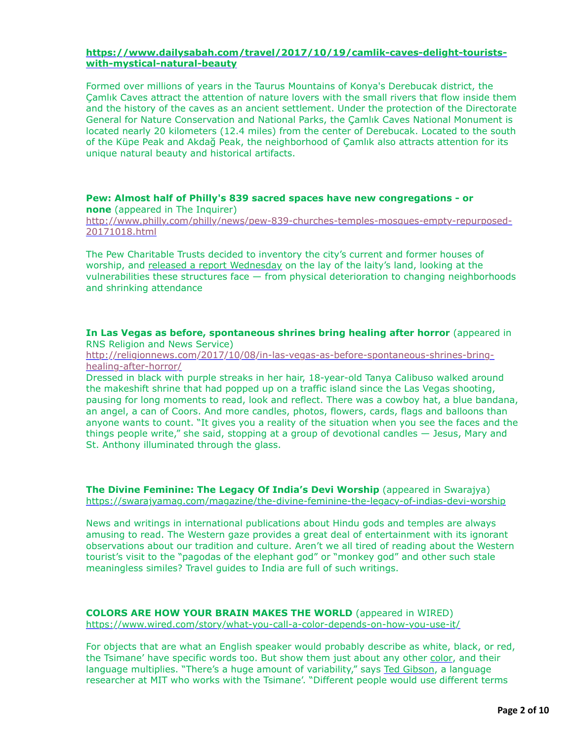### **[https://www.dailysabah.com/travel/2017/10/19/camlik-caves-delight-tourists](https://www.dailysabah.com/travel/2017/10/19/camlik-caves-delight-tourists-with-mystical-natural-beauty)with-mystical-natural-beauty**

Formed over millions of years in the Taurus Mountains of Konya's Derebucak district, the Çamlık Caves attract the attention of nature lovers with the small rivers that flow inside them and the history of the caves as an ancient settlement. Under the protection of the Directorate General for Nature Conservation and National Parks, the Çamlık Caves National Monument is located nearly 20 kilometers (12.4 miles) from the center of Derebucak. Located to the south of the Küpe Peak and Akdağ Peak, the neighborhood of Çamlık also attracts attention for its unique natural beauty and historical artifacts.

### **Pew: Almost half of Philly's 839 sacred spaces have new congregations - or none** (appeared in The Inquirer)

[http://www.philly.com/philly/news/pew-839-churches-temples-mosques-empty-repurposed-](http://www.philly.com/philly/news/pew-839-churches-temples-mosques-empty-repurposed-20171018.html)20171018.html

The Pew Charitable Trusts decided to inventory the city's current and former houses of worship, and [released a report Wednesday](http://www.pewtrusts.org/en/research-and-analysis/reports/2017/10/philadelphias-historic-sacred-places) on the lay of the laity's land, looking at the vulnerabilities these structures face — from physical deterioration to changing neighborhoods and shrinking attendance

#### **In Las Vegas as before, spontaneous shrines bring healing after horror** (appeared in RNS Religion and News Service)

[http://religionnews.com/2017/10/08/in-las-vegas-as-before-spontaneous-shrines-bring](http://religionnews.com/2017/10/08/in-las-vegas-as-before-spontaneous-shrines-bring-healing-after-horror/)healing-after-horror/

Dressed in black with purple streaks in her hair, 18-year-old Tanya Calibuso walked around the makeshift shrine that had popped up on a traffic island since the Las Vegas shooting, pausing for long moments to read, look and reflect. There was a cowboy hat, a blue bandana, an angel, a can of Coors. And more candles, photos, flowers, cards, flags and balloons than anyone wants to count. "It gives you a reality of the situation when you see the faces and the things people write," she said, stopping at a group of devotional candles — Jesus, Mary and St. Anthony illuminated through the glass.

**The Divine Feminine: The Legacy Of India's Devi Worship** (appeared in Swarajya) <https://swarajyamag.com/magazine/the-divine-feminine-the-legacy-of-indias-devi-worship>

News and writings in international publications about Hindu gods and temples are always amusing to read. The Western gaze provides a great deal of entertainment with its ignorant observations about our tradition and culture. Aren't we all tired of reading about the Western tourist's visit to the "pagodas of the elephant god" or "monkey god" and other such stale meaningless similes? Travel guides to India are full of such writings.

# **COLORS ARE HOW YOUR BRAIN MAKES THE WORLD** (appeared in WIRED)

<https://www.wired.com/story/what-you-call-a-color-depends-on-how-you-use-it/>

For objects that are what an English speaker would probably describe as white, black, or red, the Tsimane' have specific words too. But show them just about any other [color,](https://www.wired.com/tag/color/) and their language multiplies. "There's a huge amount of variability," says [Ted Gibson](http://tedlab.mit.edu/), a language researcher at MIT who works with the Tsimane'. "Different people would use different terms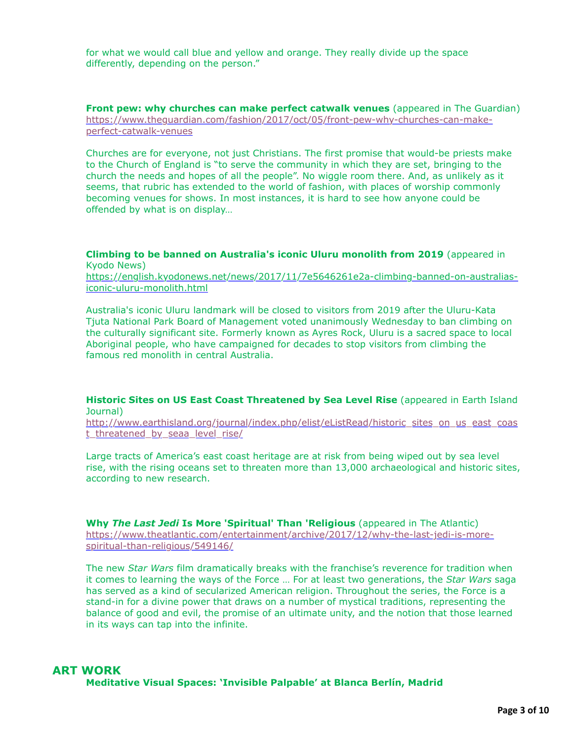for what we would call blue and yellow and orange. They really divide up the space differently, depending on the person."

**Front pew: why churches can make perfect catwalk venues** (appeared in The Guardian) [https://www.theguardian.com/fashion/2017/oct/05/front-pew-why-churches-can-make](https://www.theguardian.com/fashion/2017/oct/05/front-pew-why-churches-can-make-perfect-catwalk-venues)perfect-catwalk-venues

Churches are for everyone, not just Christians. The first promise that would-be priests make to the Church of England is "to serve the community in which they are set, bringing to the church the needs and hopes of all the people". No wiggle room there. And, as unlikely as it seems, that rubric has extended to the world of fashion, with places of worship commonly becoming venues for shows. In most instances, it is hard to see how anyone could be offended by what is on display…

**Climbing to be banned on Australia's iconic Uluru monolith from 2019** (appeared in Kyodo News)

[https://english.kyodonews.net/news/2017/11/7e5646261e2a-climbing-banned-on-australias](https://english.kyodonews.net/news/2017/11/7e5646261e2a-climbing-banned-on-australias-iconic-uluru-monolith.html)iconic-uluru-monolith.html

Australia's iconic Uluru landmark will be closed to visitors from 2019 after the Uluru-Kata Tjuta National Park Board of Management voted unanimously Wednesday to ban climbing on the culturally significant site. Formerly known as Ayres Rock, Uluru is a sacred space to local Aboriginal people, who have campaigned for decades to stop visitors from climbing the famous red monolith in central Australia.

**Historic Sites on US East Coast Threatened by Sea Level Rise** (appeared in Earth Island Journal)

[http://www.earthisland.org/journal/index.php/elist/eListRead/historic\\_sites\\_on\\_us\\_east\\_coas](http://www.earthisland.org/journal/index.php/elist/eListRead/historic_sites_on_us_east_coast_threatened_by_seaa_level_rise/) t threatened by seaa level rise/

Large tracts of America's east coast heritage are at risk from being wiped out by sea level rise, with the rising oceans set to threaten more than 13,000 archaeological and historic sites, according to new research.

**Why** *The Last Jedi* **Is More 'Spiritual' Than 'Religious** (appeared in The Atlantic) [https://www.theatlantic.com/entertainment/archive/2017/12/why-the-last-jedi-is-more](https://www.theatlantic.com/entertainment/archive/2017/12/why-the-last-jedi-is-more-spiritual-than-religious/549146/)spiritual-than-religious/549146/

The new *Star Wars* film dramatically breaks with the franchise's reverence for tradition when it comes to learning the ways of the Force … For at least two generations, the *Star Wars* saga has served as a kind of secularized American religion. Throughout the series, the Force is a stand-in for a divine power that draws on a number of mystical traditions, representing the balance of good and evil, the promise of an ultimate unity, and the notion that those learned in its ways can tap into the infinite.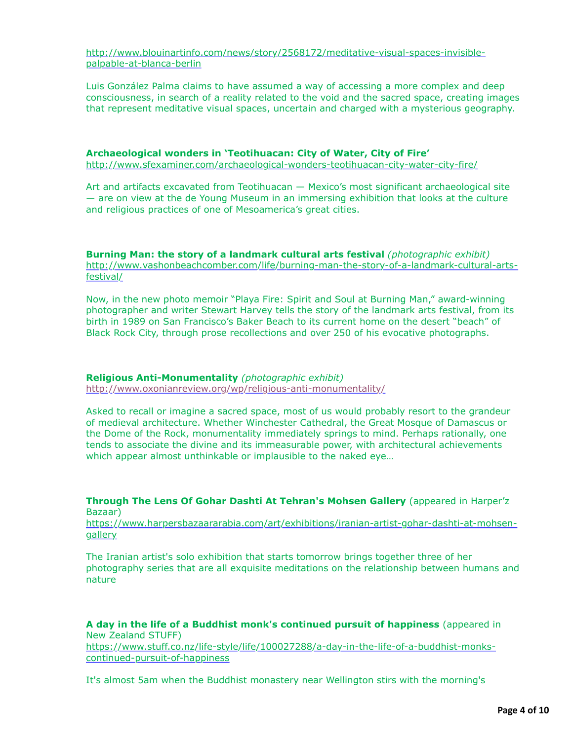[http://www.blouinartinfo.com/news/story/2568172/meditative-visual-spaces-invisible](http://www.blouinartinfo.com/news/story/2568172/meditative-visual-spaces-invisible-palpable-at-blanca-berlin)palpable-at-blanca-berlin

Luis González Palma claims to have assumed a way of accessing a more complex and deep consciousness, in search of a reality related to the void and the sacred space, creating images that represent meditative visual spaces, uncertain and charged with a mysterious geography.

**Archaeological wonders in 'Teotihuacan: City of Water, City of Fire'** <http://www.sfexaminer.com/archaeological-wonders-teotihuacan-city-water-city-fire/>

Art and artifacts excavated from Teotihuacan — Mexico's most significant archaeological site — are on view at the de Young Museum in an immersing exhibition that looks at the culture and religious practices of one of Mesoamerica's great cities.

**Burning Man: the story of a landmark cultural arts festival** *(photographic exhibit)* [http://www.vashonbeachcomber.com/life/burning-man-the-story-of-a-landmark-cultural-arts](http://www.vashonbeachcomber.com/life/burning-man-the-story-of-a-landmark-cultural-arts-festival/)festival/

Now, in the new photo memoir "Playa Fire: Spirit and Soul at Burning Man," award-winning photographer and writer Stewart Harvey tells the story of the landmark arts festival, from its birth in 1989 on San Francisco's Baker Beach to its current home on the desert "beach" of Black Rock City, through prose recollections and over 250 of his evocative photographs.

**Religious Anti-Monumentality** *(photographic exhibit)*

<http://www.oxonianreview.org/wp/religious-anti-monumentality/>

Asked to recall or imagine a sacred space, most of us would probably resort to the grandeur of medieval architecture. Whether Winchester Cathedral, the Great Mosque of Damascus or the Dome of the Rock, monumentality immediately springs to mind. Perhaps rationally, one tends to associate the divine and its immeasurable power, with architectural achievements which appear almost unthinkable or implausible to the naked eye…

**Through The Lens Of Gohar Dashti At Tehran's Mohsen Gallery** (appeared in Harper'z Bazaar)

[https://www.harpersbazaararabia.com/art/exhibitions/iranian-artist-gohar-dashti-at-mohsen](https://www.harpersbazaararabia.com/art/exhibitions/iranian-artist-gohar-dashti-at-mohsen-gallery)**gallery** 

The Iranian artist's solo exhibition that starts tomorrow brings together three of her photography series that are all exquisite meditations on the relationship between humans and nature

**A day in the life of a Buddhist monk's continued pursuit of happiness** (appeared in New Zealand STUFF) [https://www.stuff.co.nz/life-style/life/100027288/a-day-in-the-life-of-a-buddhist-monks](https://www.stuff.co.nz/life-style/life/100027288/a-day-in-the-life-of-a-buddhist-monks-continued-pursuit-of-happiness)continued-pursuit-of-happiness

It's almost 5am when the Buddhist monastery near Wellington stirs with the morning's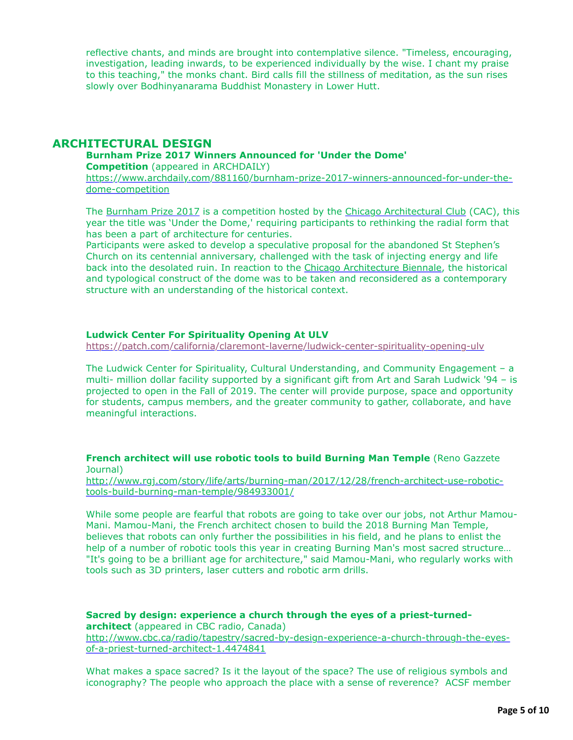reflective chants, and minds are brought into contemplative silence. "Timeless, encouraging, investigation, leading inwards, to be experienced individually by the wise. I chant my praise to this teaching," the monks chant. Bird calls fill the stillness of meditation, as the sun rises slowly over Bodhinyanarama Buddhist Monastery in Lower Hutt.

## **ARCHITECTURAL DESIGN**

#### **Burnham Prize 2017 Winners Announced for 'Under the Dome' Competition** (appeared in ARCHDAILY)

[https://www.archdaily.com/881160/burnham-prize-2017-winners-announced-for-under-the](https://www.archdaily.com/881160/burnham-prize-2017-winners-announced-for-under-the-dome-competition)dome-competition

The [Burnham Prize 2017](http://www.archdaily.com/875608/call-for-entries-2017-burnham-prize-competition-under-the-dome) is a competition hosted by the [Chicago Architectural Club](http://www.archdaily.com/tag/chicago-architectural-club) (CAC), this year the title was 'Under the Dome,' requiring participants to rethinking the radial form that has been a part of architecture for centuries.

Participants were asked to develop a speculative proposal for the abandoned St Stephen's Church on its centennial anniversary, challenged with the task of injecting energy and life back into the desolated ruin. In reaction to the [Chicago Architecture Biennale](http://www.archdaily.com/tag/chicago-architecture-biennial), the historical and typological construct of the dome was to be taken and reconsidered as a contemporary structure with an understanding of the historical context.

#### **Ludwick Center For Spirituality Opening At ULV**

<https://patch.com/california/claremont-laverne/ludwick-center-spirituality-opening-ulv>

The Ludwick Center for Spirituality, Cultural Understanding, and Community Engagement – a multi- million dollar facility supported by a significant gift from Art and Sarah Ludwick '94 – is projected to open in the Fall of 2019. The center will provide purpose, space and opportunity for students, campus members, and the greater community to gather, collaborate, and have meaningful interactions.

#### **French architect will use robotic tools to build Burning Man Temple** (Reno Gazzete Journal)

[http://www.rgj.com/story/life/arts/burning-man/2017/12/28/french-architect-use-robotic](http://www.rgj.com/story/life/arts/burning-man/2017/12/28/french-architect-use-robotic-tools-build-burning-man-temple/984933001/)tools-build-burning-man-temple/984933001/

While some people are fearful that robots are going to take over our jobs, not Arthur Mamou-Mani. Mamou-Mani, the French architect chosen to build the 2018 Burning Man Temple, believes that robots can only further the possibilities in his field, and he plans to enlist the help of a number of robotic tools this year in creating Burning Man's most sacred structure… "It's going to be a brilliant age for architecture," said Mamou-Mani, who regularly works with tools such as 3D printers, laser cutters and robotic arm drills.

**Sacred by design: experience a church through the eyes of a priest-turnedarchitect** (appeared in CBC radio, Canada) [http://www.cbc.ca/radio/tapestry/sacred-by-design-experience-a-church-through-the-eyes](http://www.cbc.ca/radio/tapestry/sacred-by-design-experience-a-church-through-the-eyes-of-a-priest-turned-architect-1.4474841)of-a-priest-turned-architect-1.4474841

What makes a space sacred? Is it the layout of the space? The use of religious symbols and iconography? The people who approach the place with a sense of reverence? ACSF member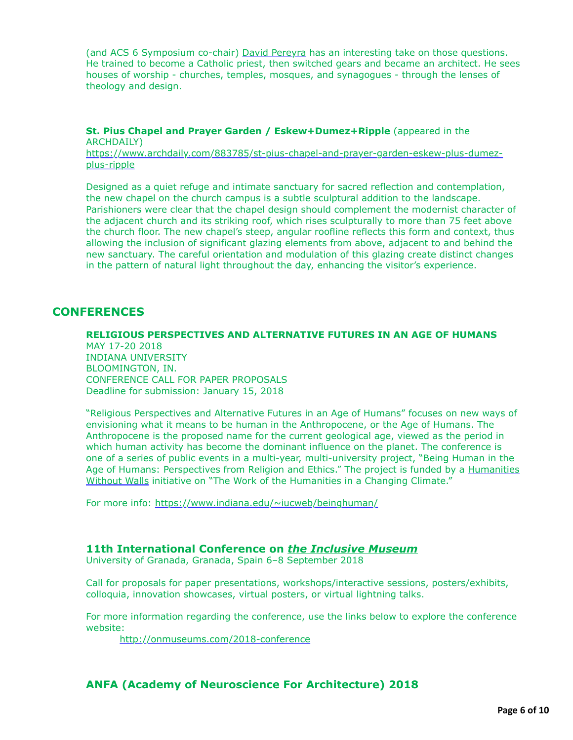(and ACS 6 Symposium co-chair) [David Pereyra](https://davidhpereyra.com/) has an interesting take on those questions. He trained to become a Catholic priest, then switched gears and became an architect. He sees houses of worship - churches, temples, mosques, and synagogues - through the lenses of theology and design.

**St. Pius Chapel and Prayer Garden / Eskew+Dumez+Ripple** (appeared in the ARCHDAILY)

[https://www.archdaily.com/883785/st-pius-chapel-and-prayer-garden-eskew-plus-dumez](https://www.archdaily.com/883785/st-pius-chapel-and-prayer-garden-eskew-plus-dumez-plus-ripple)plus-ripple

Designed as a quiet refuge and intimate sanctuary for sacred reflection and contemplation, the new chapel on the church campus is a subtle sculptural addition to the landscape. Parishioners were clear that the chapel design should complement the modernist character of the adjacent church and its striking roof, which rises sculpturally to more than 75 feet above the church floor. The new chapel's steep, angular roofline reflects this form and context, thus allowing the inclusion of significant glazing elements from above, adjacent to and behind the new sanctuary. The careful orientation and modulation of this glazing create distinct changes in the pattern of natural light throughout the day, enhancing the visitor's experience.

# **CONFERENCES**

**RELIGIOUS PERSPECTIVES AND ALTERNATIVE FUTURES IN AN AGE OF HUMANS**  MAY 17-20 2018 INDIANA UNIVERSITY BLOOMINGTON, IN. CONFERENCE CALL FOR PAPER PROPOSALS Deadline for submission: January 15, 2018

"Religious Perspectives and Alternative Futures in an Age of Humans" focuses on new ways of envisioning what it means to be human in the Anthropocene, or the Age of Humans. The Anthropocene is the proposed name for the current geological age, viewed as the period in which human activity has become the dominant influence on the planet. The conference is one of a series of public events in a multi-year, multi-university project, "Being Human in the [Age of Humans: Perspectives from Religion and Ethics." The project is funded by a Humanities](http://www.humanitieswithoutwalls.illinois.edu/) Without Walls initiative on "The Work of the Humanities in a Changing Climate."

For more info: <https://www.indiana.edu/~iucweb/beinghuman/>

### **11th International Conference on** *the Inclusive Museum*

University of Granada, Granada, Spain 6–8 September 2018

Call for proposals for paper presentations, workshops/interactive sessions, posters/exhibits, colloquia, innovation showcases, virtual posters, or virtual lightning talks.

For more information regarding the conference, use the links below to explore the conference website:

<http://onmuseums.com/2018-conference>

# **ANFA (Academy of Neuroscience For Architecture) 2018**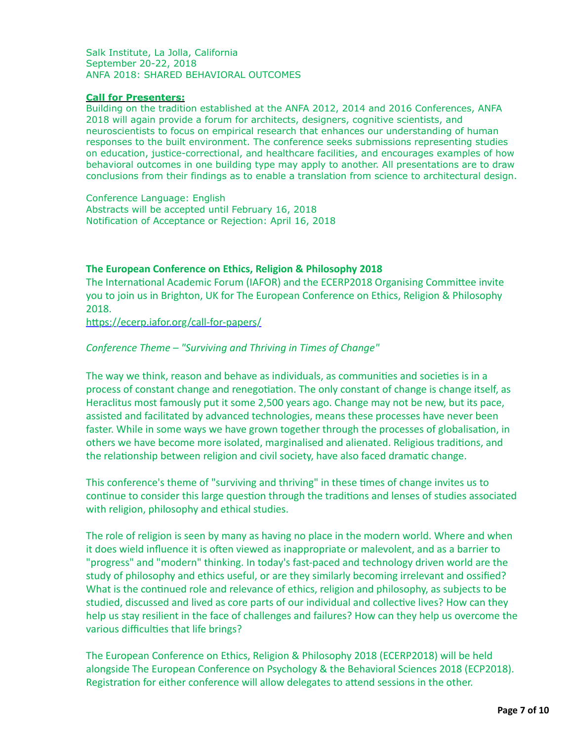Salk Institute, La Jolla, California September 20-22, 2018 ANFA 2018: SHARED BEHAVIORAL OUTCOMES

### **Call for Presenters:**

Building on the tradition established at the ANFA 2012, 2014 and 2016 Conferences, ANFA 2018 will again provide a forum for architects, designers, cognitive scientists, and neuroscientists to focus on empirical research that enhances our understanding of human responses to the built environment. The conference seeks submissions representing studies on education, justice-correctional, and healthcare facilities, and encourages examples of how behavioral outcomes in one building type may apply to another. All presentations are to draw conclusions from their findings as to enable a translation from science to architectural design.

Conference Language: English Abstracts will be accepted until February 16, 2018 Notification of Acceptance or Rejection: April 16, 2018

## **The European Conference on Ethics, Religion & Philosophy 2018**

The International Academic Forum (IAFOR) and the ECERP2018 Organising Committee invite you to join us in Brighton, UK for The European Conference on Ethics, Religion & Philosophy 2018.

https://ecerp.iafor.org/call-for-papers/

## *Conference Theme – "Surviving and Thriving in Times of Change"*

The way we think, reason and behave as individuals, as communities and societies is in a process of constant change and renegotiation. The only constant of change is change itself, as Heraclitus most famously put it some 2,500 years ago. Change may not be new, but its pace, assisted and facilitated by advanced technologies, means these processes have never been faster. While in some ways we have grown together through the processes of globalisation, in others we have become more isolated, marginalised and alienated. Religious traditions, and the relationship between religion and civil society, have also faced dramatic change.

This conference's theme of "surviving and thriving" in these times of change invites us to continue to consider this large question through the traditions and lenses of studies associated with religion, philosophy and ethical studies.

The role of religion is seen by many as having no place in the modern world. Where and when it does wield influence it is often viewed as inappropriate or malevolent, and as a barrier to "progress" and "modern" thinking. In today's fast-paced and technology driven world are the study of philosophy and ethics useful, or are they similarly becoming irrelevant and ossified? What is the continued role and relevance of ethics, religion and philosophy, as subjects to be studied, discussed and lived as core parts of our individual and collective lives? How can they help us stay resilient in the face of challenges and failures? How can they help us overcome the various difficulties that life brings?

The European Conference on Ethics, Religion & Philosophy 2018 (ECERP2018) will be held alongside The European Conference on Psychology & the Behavioral Sciences 2018 (ECP2018). Registration for either conference will allow delegates to attend sessions in the other.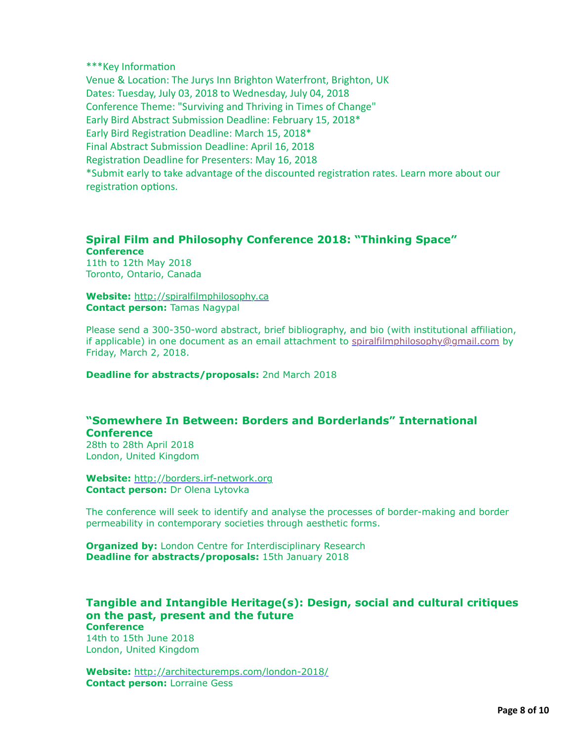\*\*\*Key Information Venue & Location: The Jurys Inn Brighton Waterfront, Brighton, UK Dates: Tuesday, July 03, 2018 to Wednesday, July 04, 2018 Conference Theme: "Surviving and Thriving in Times of Change" Early Bird Abstract Submission Deadline: February 15, 2018\* Early Bird Registration Deadline: March 15, 2018\* Final Abstract Submission Deadline: April 16, 2018 Registration Deadline for Presenters: May 16, 2018 \*Submit early to take advantage of the discounted registration rates. Learn more about our registration options.

## **Spiral Film and Philosophy Conference 2018: "Thinking Space" Conference**

11th to 12th May 2018 Toronto, Ontario, Canada

**Website:** [http://spiralfilmphilosophy.ca](http://spiralfilmphilosophy.ca/) **Contact person:** Tamas Nagypal

Please send a 300-350-word abstract, brief bibliography, and bio (with institutional affiliation, if applicable) in one document as an email attachment to [spiralfilmphilosophy@gmail.com](mailto:spiralfilmphilosophy@gmail.com) by Friday, March 2, 2018.

**Deadline for abstracts/proposals:** 2nd March 2018

# **"Somewhere In Between: Borders and Borderlands" International Conference**

28th to 28th April 2018 London, United Kingdom

**Website:** [http://borders.irf-network.org](http://borders.irf-network.org/) **Contact person:** Dr Olena Lytovka

The conference will seek to identify and analyse the processes of border-making and border permeability in contemporary societies through aesthetic forms.

**Organized by:** London Centre for Interdisciplinary Research **Deadline for abstracts/proposals:** 15th January 2018

#### **Tangible and Intangible Heritage(s): Design, social and cultural critiques on the past, present and the future Conference**

14th to 15th June 2018 London, United Kingdom

**Website:** <http://architecturemps.com/london-2018/> **Contact person:** Lorraine Gess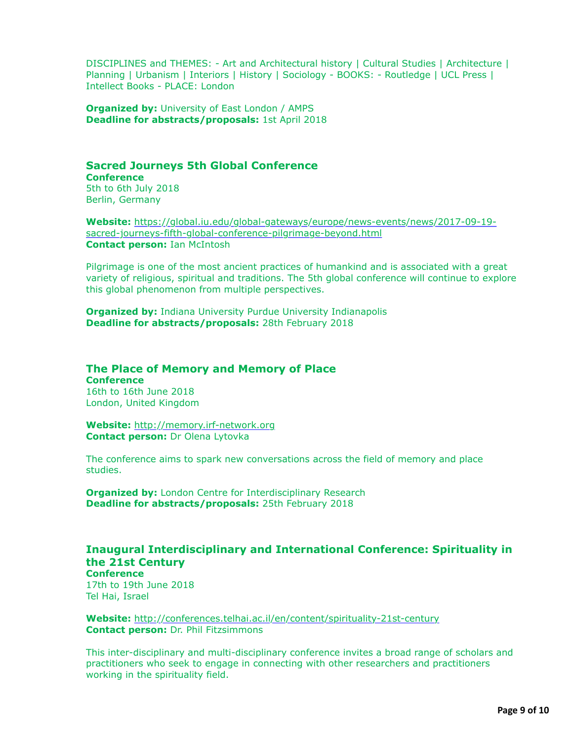DISCIPLINES and THEMES: - Art and Architectural history | Cultural Studies | Architecture | Planning | Urbanism | Interiors | History | Sociology - BOOKS: - Routledge | UCL Press | Intellect Books - PLACE: London

**Organized by: University of East London / AMPS Deadline for abstracts/proposals:** 1st April 2018

# **Sacred Journeys 5th Global Conference Conference**

5th to 6th July 2018 Berlin, Germany

**Website:** [https://global.iu.edu/global-gateways/europe/news-events/news/2017-09-19](https://global.iu.edu/global-gateways/europe/news-events/news/2017-09-19-sacred-journeys-fifth-global-conference-pilgrimage-beyond.html) sacred-journeys-fifth-global-conference-pilgrimage-beyond.html **Contact person:** Ian McIntosh

Pilgrimage is one of the most ancient practices of humankind and is associated with a great variety of religious, spiritual and traditions. The 5th global conference will continue to explore this global phenomenon from multiple perspectives.

**Organized by:** Indiana University Purdue University Indianapolis **Deadline for abstracts/proposals:** 28th February 2018

#### **The Place of Memory and Memory of Place Conference**

16th to 16th June 2018 London, United Kingdom

**Website:** [http://memory.irf-network.org](http://memory.irf-network.org/) **Contact person:** Dr Olena Lytovka

The conference aims to spark new conversations across the field of memory and place studies.

**Organized by:** London Centre for Interdisciplinary Research **Deadline for abstracts/proposals:** 25th February 2018

# **Inaugural Interdisciplinary and International Conference: Spirituality in the 21st Century**

**Conference** 17th to 19th June 2018 Tel Hai, Israel

**Website:** <http://conferences.telhai.ac.il/en/content/spirituality-21st-century> **Contact person:** Dr. Phil Fitzsimmons

This inter-disciplinary and multi-disciplinary conference invites a broad range of scholars and practitioners who seek to engage in connecting with other researchers and practitioners working in the spirituality field.